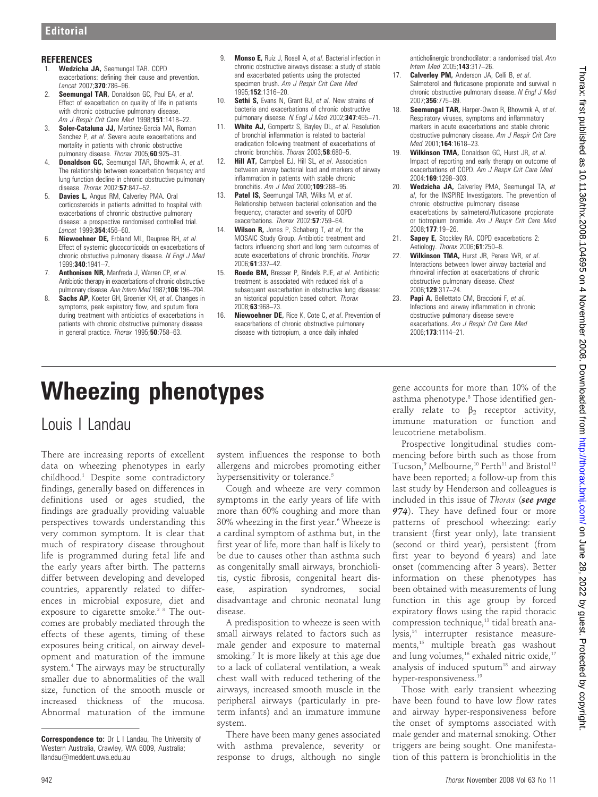### **REFERENCES**

- 1. Wedzicha JA, Seemungal TAR. COPD exacerbations: defining their cause and prevention. Lancet 2007;370:786–96.
- 2. Seemungal TAR, Donaldson GC, Paul EA, et al. Effect of exacerbation on quality of life in patients with chronic obstructive pulmonary disease. Am J Respir Crit Care Med 1998;151:1418-22.
- 3. Soler-Cataluna JJ, Martinez-Garcia MA, Roman Sanchez P, et al. Severe acute exacerbations and mortality in patients with chronic obstructive pulmonary disease. Thorax 2005;60:925-31.
- 4. **Donaldson GC, Seemungal TAR, Bhowmik A, et al.** The relationship between exacerbation frequency and lung function decline in chronic obstructive pulmonary disease. Thorax 2002:57:847–52.
- Davies L, Angus RM, Calverley PMA. Oral corticosteroids in patients admitted to hospital with exacerbations of chronnic obstructive pulmonary disease: a prospective randomised controlled trial. Lancet 1999;354:456–60.
- Niewoehner DE, Erbland ML, Deupree RH, et al. Effect of systemic glucocorticoids on exacerbations of chronic obstuctive pulmonary disease. N Engl J Med 1999;340:1941–7.
- 7. **Anthonisen NR, Manfreda J, Warren CP, et al.** Antibiotic therapy in exacerbations of chronic obstructive pulmonary disease. Ann Intern Med 1987;106:196–204.
- 8. Sachs AP, Koeter GH, Groenier KH, et al. Changes in symptoms, peak expiratory flow, and sputum flora during treatment with antibiotics of exacerbations in patients with chronic obstructive pulmonary disease in general practice. Thorax 1995;50:758-63.
- 9. **Monso E,** Ruiz J, Rosell A, et al. Bacterial infection in chronic obstructive airways disease: a study of stable and exacerbated patients using the protected specimen brush. Am J Respir Crit Care Med 1995;152:1316–20.
- 10. Sethi S, Evans N, Grant BJ, et al. New strains of bacteria and exacerbations of chronic obstructive pulmonary disease. N Engl J Med 2002;347:465-71.
- 11. White AJ, Gompertz S, Bayley DL, et al. Resolution of bronchial inflammation is related to bacterial eradication following treatment of exacerbations of chronic bronchitis. Thorax 2003;58:680-5.
- 12. Hill AT, Campbell EJ, Hill SL, et al. Association between airway bacterial load and markers of airway inflammation in patients with stable chronic bronchitis. Am  $\overline{J}$  Med 2000:109:288-95.
- 13. Patel IS, Seemungal TAR, Wilks M, et al. Relationship between bacterial colonisation and the frequency, character and severity of COPD exacerbations. Thorax 2002:57:759–64.
- 14. Wilson R, Jones P, Schaberg T, et al, for the MOSAIC Study Group. Antibiotic treatment and factors influencing short and long term outcomes of acute exacerbations of chronic bronchitis. Thorax 2006;61:337–42.
- 15. Roede BM, Bresser P, Bindels PJE, et al. Antibiotic treatment is associated with reduced risk of a subsequent exacerbation in obstructive lung disease: an historical population based cohort. Thorax 2008;63:968–73.
- 16. Niewoehner DE, Rice K, Cote C, et al. Prevention of exacerbations of chronic obstructive pulmonary disease with tiotropium, a once daily inhaled

anticholinergic bronchodilator: a randomised trial. Ann Intern Med 2005;143:317–26.

- 17. Calverley PM, Anderson JA, Celli B, et al. Salmeterol and fluticasone propionate and survival in chronic obstructive pulmonary disease. N Engl J Med 2007;356:775–89.
- 18. Seemungal TAR, Harper-Owen R, Bhowmik A, et al. Respiratory viruses, symptoms and inflammatory markers in acute exacerbations and stable chronic obstructive pulmonary disease. Am J Respir Crit Care Med 2001;164:1618-23.
- 19. Wilkinson TMA, Donaldson GC, Hurst JR, et al. Impact of reporting and early therapy on outcome of exacerbations of COPD. Am J Respir Crit Care Med 2004:169:1298–303.
- 20. Wedzicha JA, Calverley PMA, Seemungal TA, et al, for the INSPIRE Investigators. The prevention of chronic obstructive pulmonary disease exacerbations by salmeterol/fluticasone propionate or tiotropium bromide. Am J Respir Crit Care Med 2008;177:19–26.
- 21. **Sapey E,** Stockley RA. COPD exacerbations 2: Aetiology. Thorax 2006;61:250–8.
- 22. Wilkinson TMA, Hurst JR, Perera WR, et al. Interactions between lower airway bacterial and rhinoviral infection at exacerbations of chronic obstructive pulmonary disease. Chest 2006;129:317–24.
- 23. Papi A, Bellettato CM, Braccioni F, et al. Infections and airway inflammation in chronic obstructive pulmonary disease severe exacerbations. Am J Respir Crit Care Med 2006;173:1114–21.

# Wheezing phenotypes

## Louis I Landau

There are increasing reports of excellent data on wheezing phenotypes in early childhood.1 Despite some contradictory findings, generally based on differences in definitions used or ages studied, the findings are gradually providing valuable perspectives towards understanding this very common symptom. It is clear that much of respiratory disease throughout life is programmed during fetal life and the early years after birth. The patterns differ between developing and developed countries, apparently related to differences in microbial exposure, diet and exposure to cigarette smoke.<sup>2 3</sup> The outcomes are probably mediated through the effects of these agents, timing of these exposures being critical, on airway development and maturation of the immune system.4 The airways may be structurally smaller due to abnormalities of the wall size, function of the smooth muscle or increased thickness of the mucosa. Abnormal maturation of the immune

system influences the response to both allergens and microbes promoting either hypersensitivity or tolerance.<sup>5</sup>

Cough and wheeze are very common symptoms in the early years of life with more than 60% coughing and more than 30% wheezing in the first year.<sup>6</sup> Wheeze is a cardinal symptom of asthma but, in the first year of life, more than half is likely to be due to causes other than asthma such as congenitally small airways, bronchiolitis, cystic fibrosis, congenital heart disease, aspiration syndromes, social disadvantage and chronic neonatal lung disease.

A predisposition to wheeze is seen with small airways related to factors such as male gender and exposure to maternal smoking.<sup>7</sup> It is more likely at this age due to a lack of collateral ventilation, a weak chest wall with reduced tethering of the airways, increased smooth muscle in the peripheral airways (particularly in preterm infants) and an immature immune system.

There have been many genes associated with asthma prevalence, severity or response to drugs, although no single gene accounts for more than 10% of the asthma phenotype.8 Those identified generally relate to  $\beta_2$  receptor activity, immune maturation or function and leucotriene metabolism.

Prospective longitudinal studies commencing before birth such as those from Tucson,<sup>9</sup> Melbourne,<sup>10</sup> Perth<sup>11</sup> and Bristol<sup>12</sup> have been reported; a follow-up from this last study by Henderson and colleagues is included in this issue of Thorax (see page 974). They have defined four or more patterns of preschool wheezing: early transient (first year only), late transient (second or third year), persistent (from first year to beyond 6 years) and late onset (commencing after 3 years). Better information on these phenotypes has been obtained with measurements of lung function in this age group by forced expiratory flows using the rapid thoracic compression technique,<sup>13</sup> tidal breath analysis,<sup>14</sup> interrupter resistance measurements,<sup>15</sup> multiple breath gas washout and lung volumes, $16$  exhaled nitric oxide, $17$ analysis of induced sputum<sup>18</sup> and airway hyper-responsiveness.<sup>19</sup>

Those with early transient wheezing have been found to have low flow rates and airway hyper-responsiveness before the onset of symptoms associated with male gender and maternal smoking. Other triggers are being sought. One manifestation of this pattern is bronchiolitis in the

Correspondence to: Dr L I Landau, The University of Western Australia, Crawley, WA 6009, Australia; llandau@meddent.uwa.edu.au